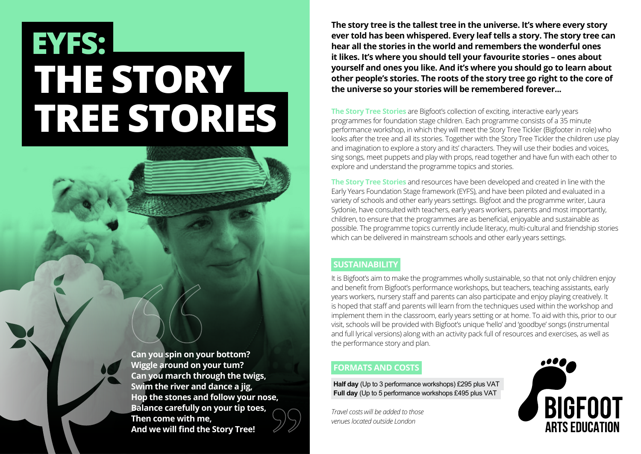# **THE STORY TREE STORIES EYFS:**

**Can you spin on your bottom? Wiggle around on your tum? Can you march through the twigs, Swim the river and dance a jig, Hop the stones and follow your nose, Balance carefully on your tip toes, Then come with me, And we will find the Story Tree!**

**The story tree is the tallest tree in the universe. It's where every story ever told has been whispered. Every leaf tells a story. The story tree can hear all the stories in the world and remembers the wonderful ones it likes. It's where you should tell your favourite stories – ones about yourself and ones you like. And it's where you should go to learn about other people's stories. The roots of the story tree go right to the core of the universe so your stories will be remembered forever...**

**The Story Tree Stories** are Bigfoot's collection of exciting, interactive early years programmes for foundation stage children. Each programme consists of a 35 minute performance workshop, in which they will meet the Story Tree Tickler (Bigfooter in role) who looks after the tree and all its stories. Together with the Story Tree Tickler the children use play and imagination to explore a story and its' characters. They will use their bodies and voices, sing songs, meet puppets and play with props, read together and have fun with each other to explore and understand the programme topics and stories.

**The Story Tree Stories** and resources have been developed and created in line with the Early Years Foundation Stage framework (EYFS), and have been piloted and evaluated in a variety of schools and other early years settings. Bigfoot and the programme writer, Laura Sydonie, have consulted with teachers, early years workers, parents and most importantly, children, to ensure that the programmes are as beneficial, enjoyable and sustainable as possible. The programme topics currently include literacy, multi-cultural and friendship stories which can be delivered in mainstream schools and other early years settings.

# **SUSTAINABILITY**

It is Bigfoot's aim to make the programmes wholly sustainable, so that not only children enjoy and benefit from Bigfoot's performance workshops, but teachers, teaching assistants, early years workers, nursery staff and parents can also participate and enjoy playing creatively. It is hoped that staff and parents will learn from the techniques used within the workshop and implement them in the classroom, early years setting or at home. To aid with this, prior to our visit, schools will be provided with Bigfoot's unique 'hello' and 'goodbye' songs (instrumental and full lyrical versions) along with an activity pack full of resources and exercises, as well as the performance story and plan.

# **FORMATS AND COSTS**

**Half day** (Up to 3 performance workshops) £295 plus VAT **Full day** (Up to 5 performance workshops £495 plus VAT

*Travel costs will be added to those venues located outside London*